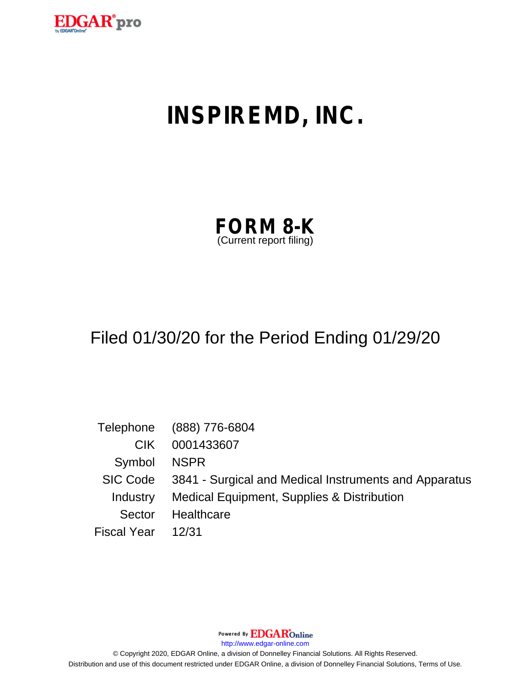

# **INSPIREMD, INC.**

| <b>FORM 8-K</b>         |  |
|-------------------------|--|
| (Current report filing) |  |

## Filed 01/30/20 for the Period Ending 01/29/20

|                    | Telephone (888) 776-6804                                       |
|--------------------|----------------------------------------------------------------|
| CIK.               | 0001433607                                                     |
| Symbol NSPR        |                                                                |
|                    | SIC Code 3841 - Surgical and Medical Instruments and Apparatus |
|                    | Industry Medical Equipment, Supplies & Distribution            |
| Sector             | Healthcare                                                     |
| Fiscal Year  12/31 |                                                                |

Powered By **EDGAR**Online

http://www.edgar-online.com

© Copyright 2020, EDGAR Online, a division of Donnelley Financial Solutions. All Rights Reserved. Distribution and use of this document restricted under EDGAR Online, a division of Donnelley Financial Solutions, Terms of Use.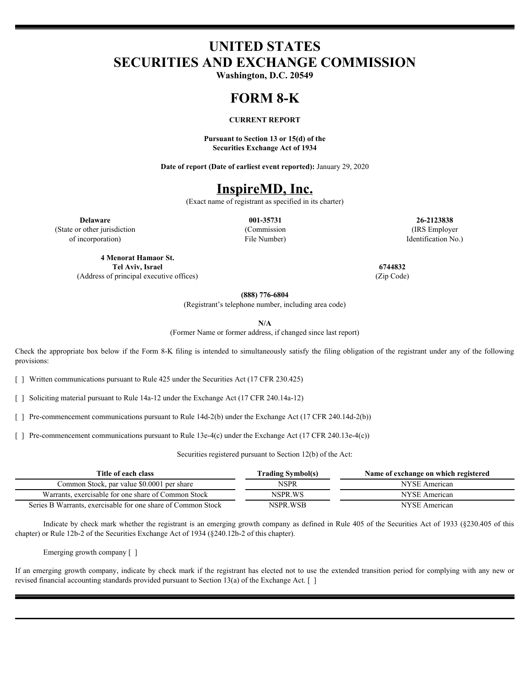## **UNITED STATES SECURITIES AND EXCHANGE COMMISSION**

**Washington, D.C. 20549**

#### **FORM 8-K**

#### **CURRENT REPORT**

**Pursuant to Section 13 or 15(d) of the Securities Exchange Act of 1934**

**Date of report (Date of earliest event reported):** January 29, 2020

## **InspireMD, Inc.**

(Exact name of registrant as specified in its charter)

(State or other jurisdiction of incorporation)

File Number)

**Delaware 001-35731 26-2123838** (Commission (IRS Employer Identification No.)

**4 Menorat Hamaor St. Tel Aviv, Israel 6744832** (Address of principal executive offices) (Zip Code)

**(888) 776-6804**

(Registrant's telephone number, including area code)

**N/A**

(Former Name or former address, if changed since last report)

Check the appropriate box below if the Form 8-K filing is intended to simultaneously satisfy the filing obligation of the registrant under any of the following provisions:

[ ] Written communications pursuant to Rule 425 under the Securities Act (17 CFR 230.425)

[ ] Soliciting material pursuant to Rule 14a-12 under the Exchange Act (17 CFR 240.14a-12)

[ ] Pre-commencement communications pursuant to Rule 14d-2(b) under the Exchange Act (17 CFR 240.14d-2(b))

[ ] Pre-commencement communications pursuant to Rule 13e-4(c) under the Exchange Act (17 CFR 240.13e-4(c))

Securities registered pursuant to Section 12(b) of the Act:

| Title of each class                                          | <b>Trading Symbol(s)</b> | Name of exchange on which registered |
|--------------------------------------------------------------|--------------------------|--------------------------------------|
| Common Stock, par value \$0,0001 per share                   | NSPR                     | NYSE.<br>American                    |
| Warrants,<br>exercisable for one share of Common Stock       | NSPR.WS                  | NYSE .<br>American                   |
| Series B Warrants, exercisable for one share of Common Stock | NSPR.WSB                 | <b>NYSE</b> American                 |

Indicate by check mark whether the registrant is an emerging growth company as defined in Rule 405 of the Securities Act of 1933 (§230.405 of this chapter) or Rule 12b-2 of the Securities Exchange Act of 1934 (§240.12b-2 of this chapter).

Emerging growth company [ ]

If an emerging growth company, indicate by check mark if the registrant has elected not to use the extended transition period for complying with any new or revised financial accounting standards provided pursuant to Section 13(a) of the Exchange Act.  $\lceil \ \rceil$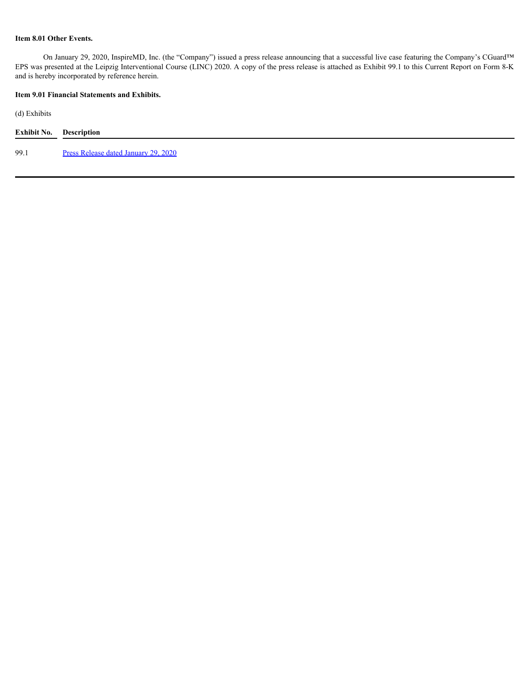#### **Item 8.01 Other Events.**

On January 29, 2020, InspireMD, Inc. (the "Company") issued a press release announcing that a successful live case featuring the Company's CGuard™ EPS was presented at the Leipzig Interventional Course (LINC) 2020. A copy of the press release is attached as Exhibit 99.1 to this Current Report on Form 8-K and is hereby incorporated by reference herein.

#### **Item 9.01 Financial Statements and Exhibits.**

(d) Exhibits

| <b>Exhibit No.</b> Description |                                      |
|--------------------------------|--------------------------------------|
| 99.1                           | Press Release dated January 29, 2020 |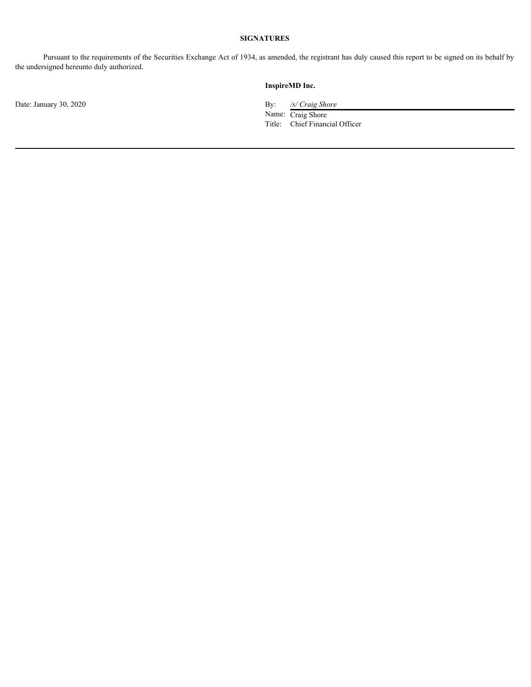### **SIGNATURES**

Pursuant to the requirements of the Securities Exchange Act of 1934, as amended, the registrant has duly caused this report to be signed on its behalf by the undersigned hereunto duly authorized.

Date: January 30, 2020 By: */s/ Craig Shore*

#### **InspireMD Inc.**

Name: Craig Shore Title: Chief Financial Officer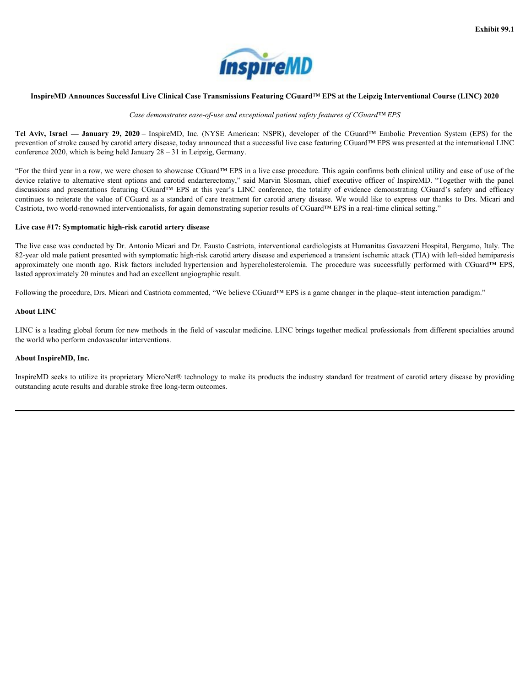

#### <span id="page-5-0"></span>InspireMD Announces Successful Live Clinical Case Transmissions Featuring CGuard™ EPS at the Leipzig Interventional Course (LINC) **2020**

*Case demonstrates ease-of-use and exceptional patient safety features of CGuard™ EPS*

prevention of stroke caused by carotid artery disease, today announced that a successful live case featuring CGuard™ EPS was presented at the international LINC conference 2020, which is being held January 28 – 31 in Leipzig, Germany.

**InspireMD Announces Successful Live Clinical Case Transmissions Featuring CGuard<sup>TM</sup> EPS at the Leipzig I<br>** *Case demonstrates ease-of-use and exceptional patient safety features of CGuard<sup>TM</sup><br>
Tel Aviv, Israel — January 2* **EXECUTE:**<br> **Aviv, Israel — January 29, 2020** – InspireMD, Inc. (NYSE American: NSPR), developer of the Leipzig Interve<br>
Case demonstrates ease-of-use and exceptional patient safety features of CGuard<sup>TM</sup> EPS<br>
Aviv, Israel **ISPITE THE SET ASSEMBLY CONTAINS THE CONSECT AND ANNOUNCE SET AND ADDITIONAL Case demonstrates ease-of-use and exceptional patient safety features of CGuard<sup>TM</sup> EPS<br>
<b>Israel — January 29, 2020** – InspireMD, Inc. (NYSE Ame **Announces Successful Live Clinical Case Transmissions Featuring CGuard<sup>TM</sup> EPS at the Leipzig Interventional Co<br>
Case demonstrates ease-of-use and exceptional patient safety features of CGuard<sup>TM</sup> EPS<br>
<b>— January 29, 2020 TISPITE AND**<br> **JANUARY CONTERNATION**<br>
Case demonstrates ease-of-use and exceptional patient safety features of CGuard<sup>TM</sup> EPS<br> **JANUARY 29, 2020** – InspireMD, Inc. (NYSE American: NSPR), developer of the CGuard<sup>TM</sup> Emboli **Example 18 Example 18 Constant Constant Constant Constant Constant Of Constant Of Constant Constant Of Constant Of Constant Constant Constant Constant Constant Constant Constant Constant Constant Constant Constant Constan 2020** – InspireMD, The Clinical Case Transmissions Featuring CGuard™ EPS at the Leipzig Interventional Course (LINC) 2020<br> *Case demonstrates ease-of-use and exceptional patient safety features of CGuard™ EPS*<br>
2020 – In "For the third year in a row, we were chosen to showcase CGuard™ EPS in a live case procedure. This again confirms both clinical utility and ease of use of the Exhibit 99.1<br>
InspireMD Announces Successful Live Clinical Case Transmissions Featuring CGuard<sup>7M</sup> EPS at the Leipzig Interventional Course (LINC) 2020<br>
Case demonstrates ease-of-use and exceptional patient steps for ance **Exhibit 99.1**<br> **Exhibit 99.1**<br> **Exhibit 99.1**<br> **Exhibit 20.00**<br> *Case demonstrates and Case Transmissions Featuring CGuard<sup>na</sup> EPS at the Leipzig Interventional Course (LINC) 2020<br>
<i>Case demonstrates suses* ( $29, 2020$  Exhibit 99.1<br>
Engine MD Announces Successful Live Clinical Cue Transmissions Feuturing CGuard<sup>TM</sup> EPS at the Leipzig Interventional Course (LINC) 2020<br>
Case *demonstrates ease-of-use ond exceptional patients ship features* Castriota, two world-renowned interventionalists, for again demonstrating superior results of CGuard™ EPS in a real-time clinical setting." **Example Control Amountes Successful Live Clinical Case Transmissions Featuring CGuard<sup>na</sup> EPS at the Leipzig Interventional Course (LINC) 2020<br>
Tel Aviv, Israel — Jeanney 29, 2020 – Inspirators conservation of process an** 

#### **Live case #17: Symptomatic high-risk carotid artery disease**

The live case was conducted by Dr. Antonio Micari and Dr. Fausto Castriota, interventional cardiologists at Humanitas Gavazzeni Hospital, Bergamo, Italy. The 82-year old male patient presented with symptomatic high-risk carotid artery disease and experienced a transient ischemic attack (TIA) with left-sided hemiparesis lasted approximately 20 minutes and had an excellent angiographic result.

Following the procedure, Drs. Micari and Castriota commented, "We believe CGuard™ EPS is a game changer in the plaque–stent interaction paradigm."

#### **About LINC**

LINC is a leading global forum for new methods in the field of vascular medicine. LINC brings together medical professionals from different specialties around the world who perform endovascular interventions.

### **About InspireMD, Inc.**

InspireMD seeks to utilize its proprietary MicroNet® technology to make its products the industry standard for treatment of carotid artery disease by providing outstanding acute results and durable stroke free long-term outcomes.